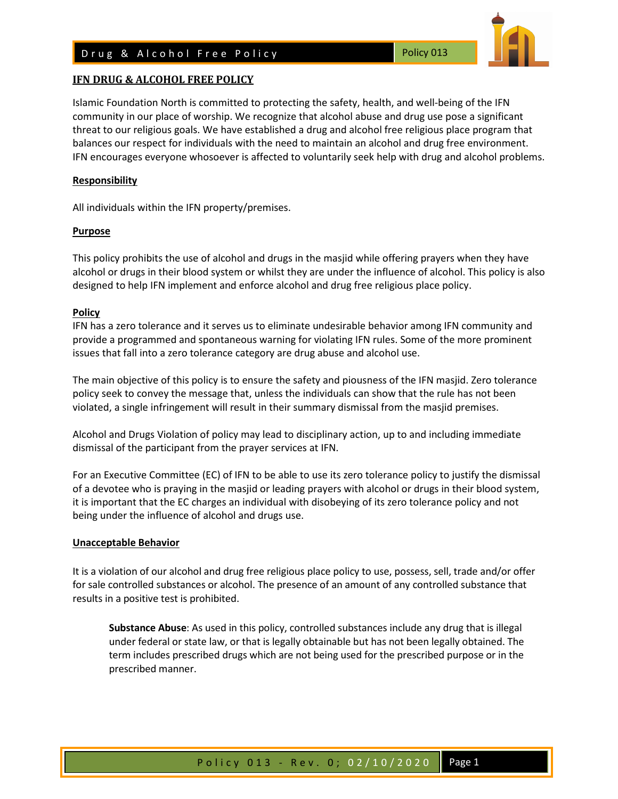## D rug & Alcohol Free Policy Notice 2013



Islamic Foundation North is committed to protecting the safety, health, and well-being of the IFN community in our place of worship. We recognize that alcohol abuse and drug use pose a significant threat to our religious goals. We have established a drug and alcohol free religious place program that balances our respect for individuals with the need to maintain an alcohol and drug free environment. IFN encourages everyone whosoever is affected to voluntarily seek help with drug and alcohol problems.

### **Responsibility**

All individuals within the IFN property/premises.

### **Purpose**

This policy prohibits the use of alcohol and drugs in the masjid while offering prayers when they have alcohol or drugs in their blood system or whilst they are under the influence of alcohol. This policy is also designed to help IFN implement and enforce alcohol and drug free religious place policy.

### **Policy**

IFN has a zero tolerance and it serves us to eliminate undesirable behavior among IFN community and provide a programmed and spontaneous warning for violating IFN rules. Some of the more prominent issues that fall into a zero tolerance category are drug abuse and alcohol use.

The main objective of this policy is to ensure the safety and piousness of the IFN masjid. Zero tolerance policy seek to convey the message that, unless the individuals can show that the rule has not been violated, a single infringement will result in their summary dismissal from the masjid premises.

Alcohol and Drugs Violation of policy may lead to disciplinary action, up to and including immediate dismissal of the participant from the prayer services at IFN.

For an Executive Committee (EC) of IFN to be able to use its zero tolerance policy to justify the dismissal of a devotee who is praying in the masjid or leading prayers with alcohol or drugs in their blood system, it is important that the EC charges an individual with disobeying of its zero tolerance policy and not being under the influence of alcohol and drugs use.

#### **Unacceptable Behavior**

It is a violation of our alcohol and drug free religious place policy to use, possess, sell, trade and/or offer for sale controlled substances or alcohol. The presence of an amount of any controlled substance that results in a positive test is prohibited.

**Substance Abuse**: As used in this policy, controlled substances include any drug that is illegal under federal or state law, or that is legally obtainable but has not been legally obtained. The term includes prescribed drugs which are not being used for the prescribed purpose or in the prescribed manner.

## Policy 013 - Rev. 0; 02/10/2020 Page 1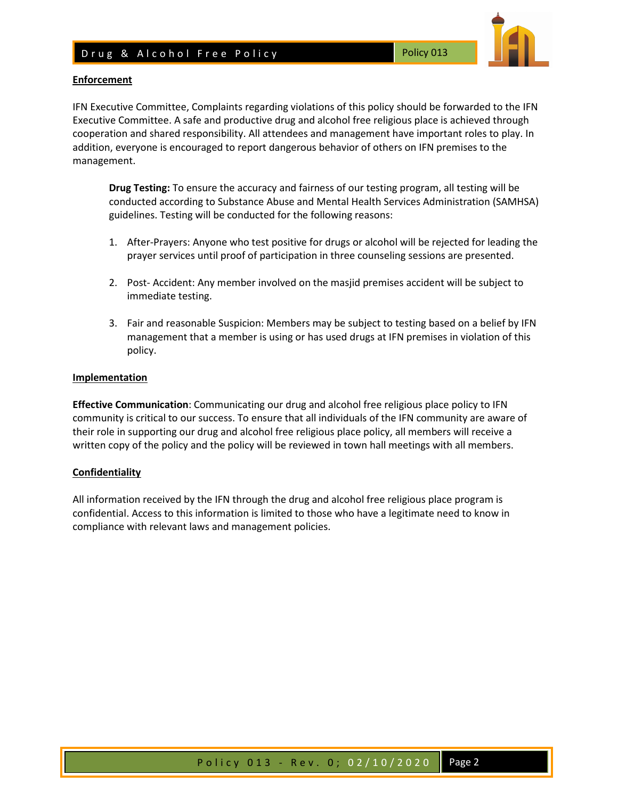# D rug & Alcohol Free Policy Notice 2013



### **Enforcement**

IFN Executive Committee, Complaints regarding violations of this policy should be forwarded to the IFN Executive Committee. A safe and productive drug and alcohol free religious place is achieved through cooperation and shared responsibility. All attendees and management have important roles to play. In addition, everyone is encouraged to report dangerous behavior of others on IFN premises to the management.

**Drug Testing:** To ensure the accuracy and fairness of our testing program, all testing will be conducted according to Substance Abuse and Mental Health Services Administration (SAMHSA) guidelines. Testing will be conducted for the following reasons:

- 1. After-Prayers: Anyone who test positive for drugs or alcohol will be rejected for leading the prayer services until proof of participation in three counseling sessions are presented.
- 2. Post- Accident: Any member involved on the masjid premises accident will be subject to immediate testing.
- 3. Fair and reasonable Suspicion: Members may be subject to testing based on a belief by IFN management that a member is using or has used drugs at IFN premises in violation of this policy.

### **Implementation**

**Effective Communication**: Communicating our drug and alcohol free religious place policy to IFN community is critical to our success. To ensure that all individuals of the IFN community are aware of their role in supporting our drug and alcohol free religious place policy, all members will receive a written copy of the policy and the policy will be reviewed in town hall meetings with all members.

### **Confidentiality**

All information received by the IFN through the drug and alcohol free religious place program is confidential. Access to this information is limited to those who have a legitimate need to know in compliance with relevant laws and management policies.